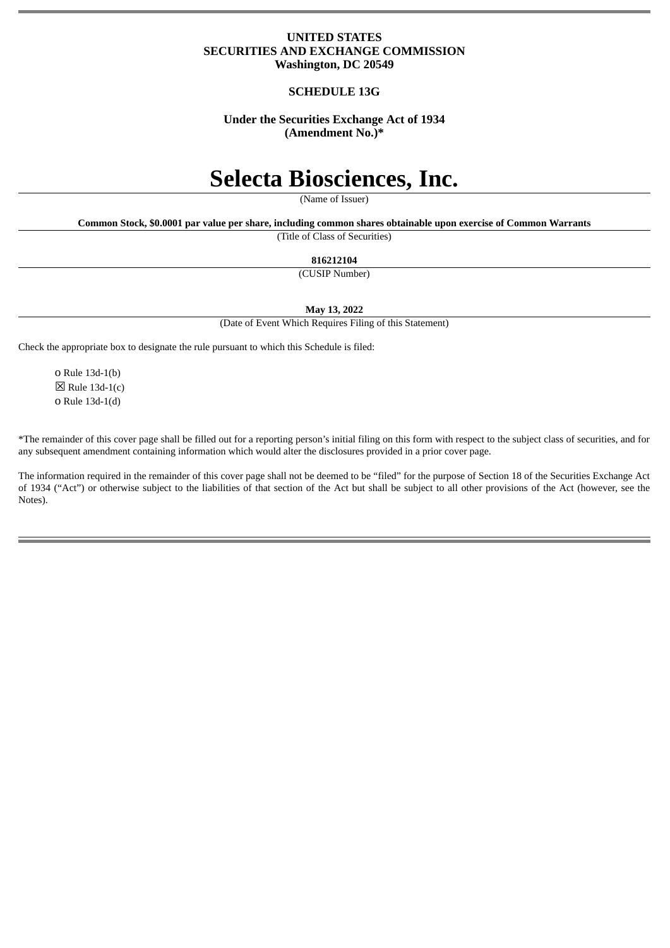# **UNITED STATES SECURITIES AND EXCHANGE COMMISSION Washington, DC 20549**

# **SCHEDULE 13G**

# **Under the Securities Exchange Act of 1934 (Amendment No.)\***

# **Selecta Biosciences, Inc.**

(Name of Issuer)

**Common Stock, \$0.0001 par value per share, including common shares obtainable upon exercise of Common Warrants**

(Title of Class of Securities)

#### **816212104**

(CUSIP Number)

**May 13, 2022**

(Date of Event Which Requires Filing of this Statement)

Check the appropriate box to designate the rule pursuant to which this Schedule is filed:

o Rule 13d-1(b)  $\boxtimes$  Rule 13d-1(c) o Rule 13d-1(d)

\*The remainder of this cover page shall be filled out for a reporting person's initial filing on this form with respect to the subject class of securities, and for any subsequent amendment containing information which would alter the disclosures provided in a prior cover page.

The information required in the remainder of this cover page shall not be deemed to be "filed" for the purpose of Section 18 of the Securities Exchange Act of 1934 ("Act") or otherwise subject to the liabilities of that section of the Act but shall be subject to all other provisions of the Act (however, see the Notes).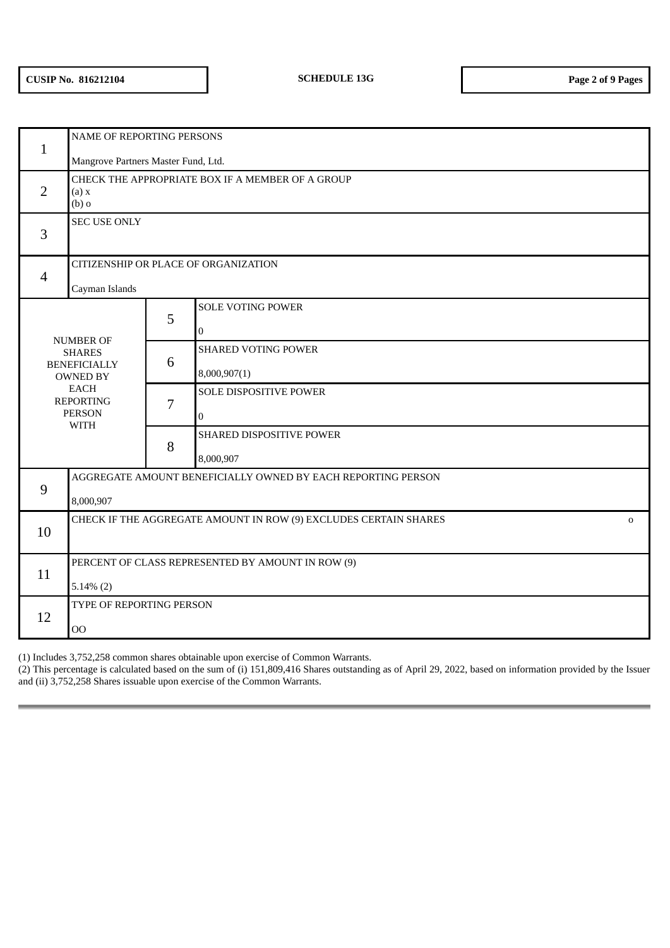| $\mathbf{1}$                                                                                                                                   | NAME OF REPORTING PERSONS                                                       |   |                                              |  |  |  |  |
|------------------------------------------------------------------------------------------------------------------------------------------------|---------------------------------------------------------------------------------|---|----------------------------------------------|--|--|--|--|
|                                                                                                                                                | Mangrove Partners Master Fund, Ltd.                                             |   |                                              |  |  |  |  |
| $\overline{2}$                                                                                                                                 | CHECK THE APPROPRIATE BOX IF A MEMBER OF A GROUP<br>(a) x<br>$(b)$ o            |   |                                              |  |  |  |  |
| 3                                                                                                                                              | <b>SEC USE ONLY</b>                                                             |   |                                              |  |  |  |  |
| $\overline{4}$                                                                                                                                 | CITIZENSHIP OR PLACE OF ORGANIZATION                                            |   |                                              |  |  |  |  |
|                                                                                                                                                | Cayman Islands                                                                  |   |                                              |  |  |  |  |
| <b>NUMBER OF</b><br><b>SHARES</b><br><b>BENEFICIALLY</b><br><b>OWNED BY</b><br><b>EACH</b><br><b>REPORTING</b><br><b>PERSON</b><br><b>WITH</b> |                                                                                 | 5 | <b>SOLE VOTING POWER</b><br>$\boldsymbol{0}$ |  |  |  |  |
|                                                                                                                                                |                                                                                 | 6 | <b>SHARED VOTING POWER</b><br>8,000,907(1)   |  |  |  |  |
|                                                                                                                                                |                                                                                 | 7 | SOLE DISPOSITIVE POWER<br>$\overline{0}$     |  |  |  |  |
|                                                                                                                                                |                                                                                 | 8 | SHARED DISPOSITIVE POWER<br>8,000,907        |  |  |  |  |
| 9                                                                                                                                              | AGGREGATE AMOUNT BENEFICIALLY OWNED BY EACH REPORTING PERSON                    |   |                                              |  |  |  |  |
|                                                                                                                                                | 8,000,907                                                                       |   |                                              |  |  |  |  |
| 10                                                                                                                                             | CHECK IF THE AGGREGATE AMOUNT IN ROW (9) EXCLUDES CERTAIN SHARES<br>$\mathbf 0$ |   |                                              |  |  |  |  |
| 11                                                                                                                                             | PERCENT OF CLASS REPRESENTED BY AMOUNT IN ROW (9)<br>$5.14\%$ (2)               |   |                                              |  |  |  |  |
| 12                                                                                                                                             | TYPE OF REPORTING PERSON<br>00                                                  |   |                                              |  |  |  |  |

(1) Includes 3,752,258 common shares obtainable upon exercise of Common Warrants.

(2) This percentage is calculated based on the sum of (i) 151,809,416 Shares outstanding as of April 29, 2022, based on information provided by the Issuer and (ii) 3,752,258 Shares issuable upon exercise of the Common Warrants.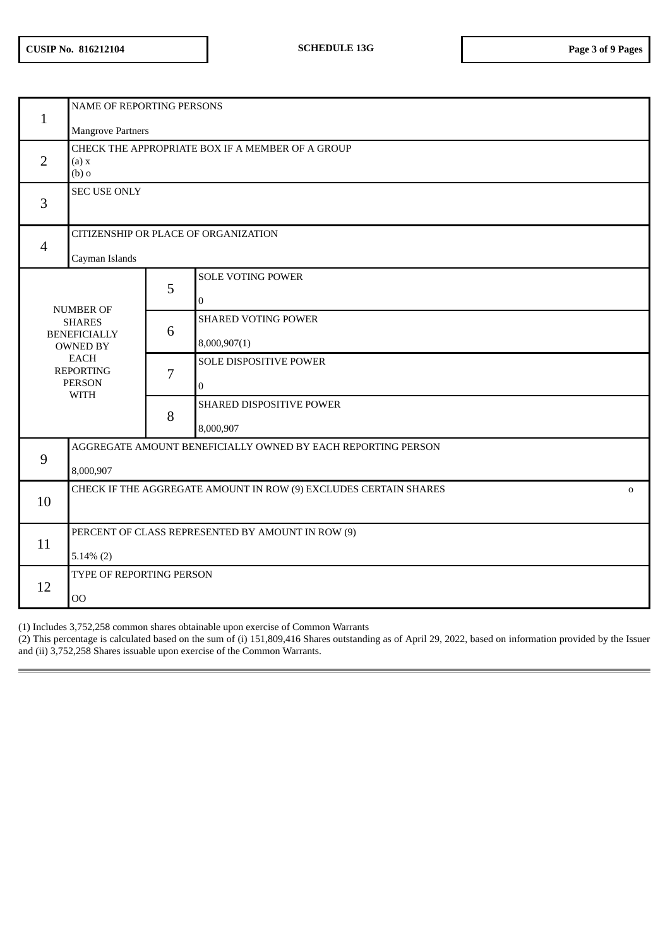| $\mathbf{1}$                                                                                                                                   | <b>NAME OF REPORTING PERSONS</b><br><b>Mangrove Partners</b>                    |   |                                          |  |  |  |
|------------------------------------------------------------------------------------------------------------------------------------------------|---------------------------------------------------------------------------------|---|------------------------------------------|--|--|--|
| $\overline{2}$                                                                                                                                 | CHECK THE APPROPRIATE BOX IF A MEMBER OF A GROUP<br>(a) x<br>$(b)$ o            |   |                                          |  |  |  |
| 3                                                                                                                                              | <b>SEC USE ONLY</b>                                                             |   |                                          |  |  |  |
| $\overline{4}$                                                                                                                                 | CITIZENSHIP OR PLACE OF ORGANIZATION<br>Cayman Islands                          |   |                                          |  |  |  |
|                                                                                                                                                |                                                                                 | 5 | <b>SOLE VOTING POWER</b><br>$\mathbf{0}$ |  |  |  |
| <b>NUMBER OF</b><br><b>SHARES</b><br><b>BENEFICIALLY</b><br><b>OWNED BY</b><br><b>EACH</b><br><b>REPORTING</b><br><b>PERSON</b><br><b>WITH</b> |                                                                                 | 6 | SHARED VOTING POWER<br>8,000,907(1)      |  |  |  |
|                                                                                                                                                |                                                                                 | 7 | SOLE DISPOSITIVE POWER<br>$\bf{0}$       |  |  |  |
|                                                                                                                                                |                                                                                 | 8 | SHARED DISPOSITIVE POWER<br>8,000,907    |  |  |  |
| 9                                                                                                                                              | AGGREGATE AMOUNT BENEFICIALLY OWNED BY EACH REPORTING PERSON<br>8,000,907       |   |                                          |  |  |  |
| 10                                                                                                                                             | CHECK IF THE AGGREGATE AMOUNT IN ROW (9) EXCLUDES CERTAIN SHARES<br>$\mathbf 0$ |   |                                          |  |  |  |
| 11                                                                                                                                             | PERCENT OF CLASS REPRESENTED BY AMOUNT IN ROW (9)<br>$5.14\%$ (2)               |   |                                          |  |  |  |
| 12                                                                                                                                             | TYPE OF REPORTING PERSON<br>00                                                  |   |                                          |  |  |  |

(1) Includes 3,752,258 common shares obtainable upon exercise of Common Warrants

(2) This percentage is calculated based on the sum of (i) 151,809,416 Shares outstanding as of April 29, 2022, based on information provided by the Issuer and (ii) 3,752,258 Shares issuable upon exercise of the Common Warrants.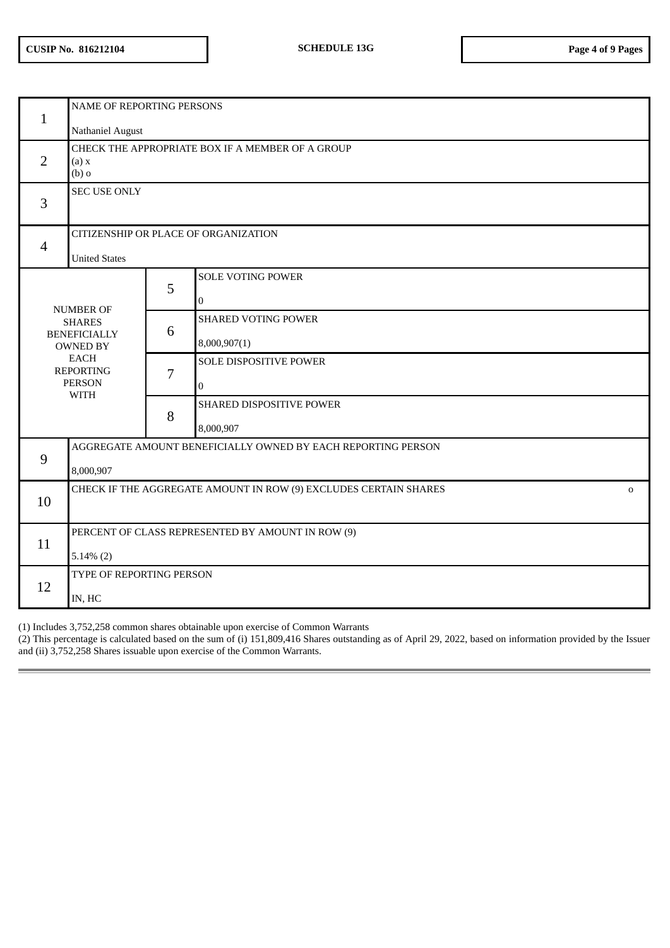| $\mathbf{1}$                                                                                                                            | NAME OF REPORTING PERSONS<br>Nathaniel August                                   |   |                                               |  |  |  |  |
|-----------------------------------------------------------------------------------------------------------------------------------------|---------------------------------------------------------------------------------|---|-----------------------------------------------|--|--|--|--|
| $\overline{2}$                                                                                                                          | CHECK THE APPROPRIATE BOX IF A MEMBER OF A GROUP<br>(a) x<br>$(b)$ o            |   |                                               |  |  |  |  |
| 3                                                                                                                                       | <b>SEC USE ONLY</b>                                                             |   |                                               |  |  |  |  |
| $\overline{4}$                                                                                                                          | CITIZENSHIP OR PLACE OF ORGANIZATION<br><b>United States</b>                    |   |                                               |  |  |  |  |
| NUMBER OF<br><b>SHARES</b><br><b>BENEFICIALLY</b><br><b>OWNED BY</b><br><b>EACH</b><br><b>REPORTING</b><br><b>PERSON</b><br><b>WITH</b> |                                                                                 | 5 | <b>SOLE VOTING POWER</b><br>$\mathbf{0}$      |  |  |  |  |
|                                                                                                                                         |                                                                                 | 6 | <b>SHARED VOTING POWER</b><br>8,000,907(1)    |  |  |  |  |
|                                                                                                                                         |                                                                                 | 7 | <b>SOLE DISPOSITIVE POWER</b><br>$\mathbf{0}$ |  |  |  |  |
|                                                                                                                                         |                                                                                 | 8 | SHARED DISPOSITIVE POWER<br>8,000,907         |  |  |  |  |
| 9                                                                                                                                       | AGGREGATE AMOUNT BENEFICIALLY OWNED BY EACH REPORTING PERSON<br>8,000,907       |   |                                               |  |  |  |  |
| 10                                                                                                                                      | CHECK IF THE AGGREGATE AMOUNT IN ROW (9) EXCLUDES CERTAIN SHARES<br>$\mathbf 0$ |   |                                               |  |  |  |  |
| 11                                                                                                                                      | PERCENT OF CLASS REPRESENTED BY AMOUNT IN ROW (9)<br>$5.14\%$ (2)               |   |                                               |  |  |  |  |
| 12                                                                                                                                      | TYPE OF REPORTING PERSON<br>IN, HC                                              |   |                                               |  |  |  |  |

(1) Includes 3,752,258 common shares obtainable upon exercise of Common Warrants

(2) This percentage is calculated based on the sum of (i) 151,809,416 Shares outstanding as of April 29, 2022, based on information provided by the Issuer and (ii) 3,752,258 Shares issuable upon exercise of the Common Warrants.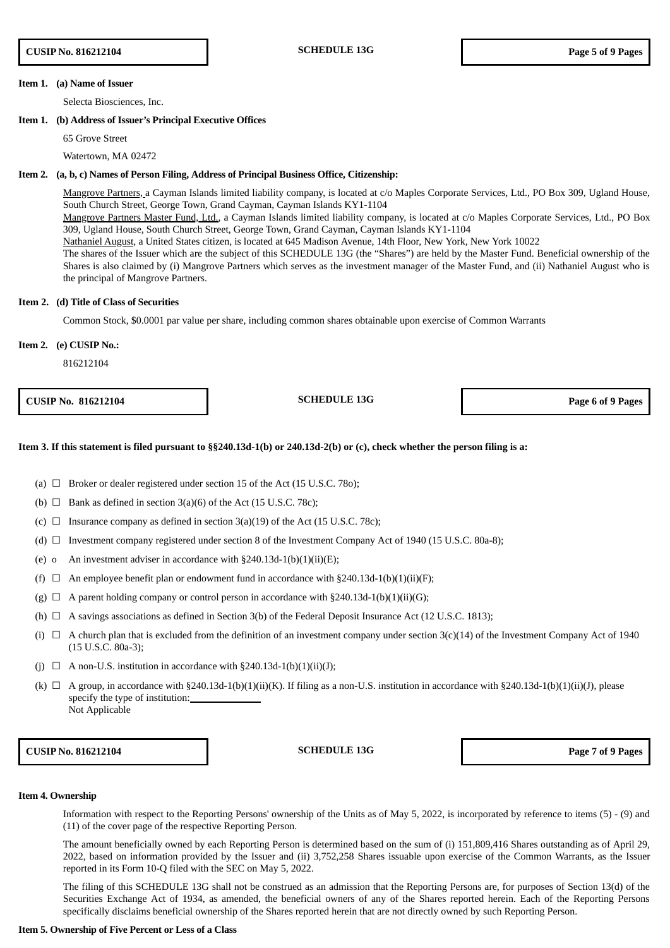#### **Item 1. (a) Name of Issuer**

Selecta Biosciences, Inc.

# **Item 1. (b) Address of Issuer's Principal Executive Offices**

65 Grove Street

#### Watertown, MA 02472

#### **Item 2. (a, b, c) Names of Person Filing, Address of Principal Business Office, Citizenship:**

Mangrove Partners, a Cayman Islands limited liability company, is located at c/o Maples Corporate Services, Ltd., PO Box 309, Ugland House, South Church Street, George Town, Grand Cayman, Cayman Islands KY1-1104 Mangrove Partners Master Fund, Ltd., a Cayman Islands limited liability company, is located at c/o Maples Corporate Services, Ltd., PO Box 309, Ugland House, South Church Street, George Town, Grand Cayman, Cayman Islands KY1-1104 Nathaniel August, a United States citizen, is located at 645 Madison Avenue, 14th Floor, New York, New York 10022 The shares of the Issuer which are the subject of this SCHEDULE 13G (the "Shares") are held by the Master Fund. Beneficial ownership of the Shares is also claimed by (i) Mangrove Partners which serves as the investment manager of the Master Fund, and (ii) Nathaniel August who is the principal of Mangrove Partners.

#### **Item 2. (d) Title of Class of Securities**

Common Stock, \$0.0001 par value per share, including common shares obtainable upon exercise of Common Warrants

#### **Item 2. (e) CUSIP No.:**

816212104

**CUSIP No. 816212104 SCHEDULE 13G Page 6 of 9 Pages**

#### Item 3. If this statement is filed pursuant to §§240.13d-1(b) or 240.13d-2(b) or (c), check whether the person filing is a:

- (a)  $\Box$  Broker or dealer registered under section 15 of the Act (15 U.S.C. 780);
- (b)  $\Box$  Bank as defined in section 3(a)(6) of the Act (15 U.S.C. 78c);
- (c)  $\Box$  Insurance company as defined in section 3(a)(19) of the Act (15 U.S.C. 78c);
- (d)  $\Box$  Investment company registered under section 8 of the Investment Company Act of 1940 (15 U.S.C. 80a-8);
- (e) o An investment adviser in accordance with  $\S 240.13d-1(b)(1)(ii)(E)$ ;
- (f)  $\Box$  An employee benefit plan or endowment fund in accordance with §240.13d-1(b)(1)(ii)(F);
- (g)  $\Box$  A parent holding company or control person in accordance with §240.13d-1(b)(1)(ii)(G);
- (h)  $\Box$  A savings associations as defined in Section 3(b) of the Federal Deposit Insurance Act (12 U.S.C. 1813);
- (i)  $\Box$  A church plan that is excluded from the definition of an investment company under section 3(c)(14) of the Investment Company Act of 1940 (15 U.S.C. 80a-3);
- (j)  $\Box$  A non-U.S. institution in accordance with §240.13d-1(b)(1)(ii)(J);
- (k)  $\Box$  A group, in accordance with §240.13d-1(b)(1)(ii)(K). If filing as a non-U.S. institution in accordance with §240.13d-1(b)(1)(ii)(J), please specify the type of institution: Not Applicable

**CUSIP No. 816212104 SCHEDULE 13G Page 7 of 9 Pages**

#### **Item 4. Ownership**

Information with respect to the Reporting Persons' ownership of the Units as of May 5, 2022, is incorporated by reference to items (5) - (9) and (11) of the cover page of the respective Reporting Person.

The amount beneficially owned by each Reporting Person is determined based on the sum of (i) 151,809,416 Shares outstanding as of April 29, 2022, based on information provided by the Issuer and (ii) 3,752,258 Shares issuable upon exercise of the Common Warrants, as the Issuer reported in its Form 10-Q filed with the SEC on May 5, 2022.

The filing of this SCHEDULE 13G shall not be construed as an admission that the Reporting Persons are, for purposes of Section 13(d) of the Securities Exchange Act of 1934, as amended, the beneficial owners of any of the Shares reported herein. Each of the Reporting Persons specifically disclaims beneficial ownership of the Shares reported herein that are not directly owned by such Reporting Person.

## **Item 5. Ownership of Five Percent or Less of a Class**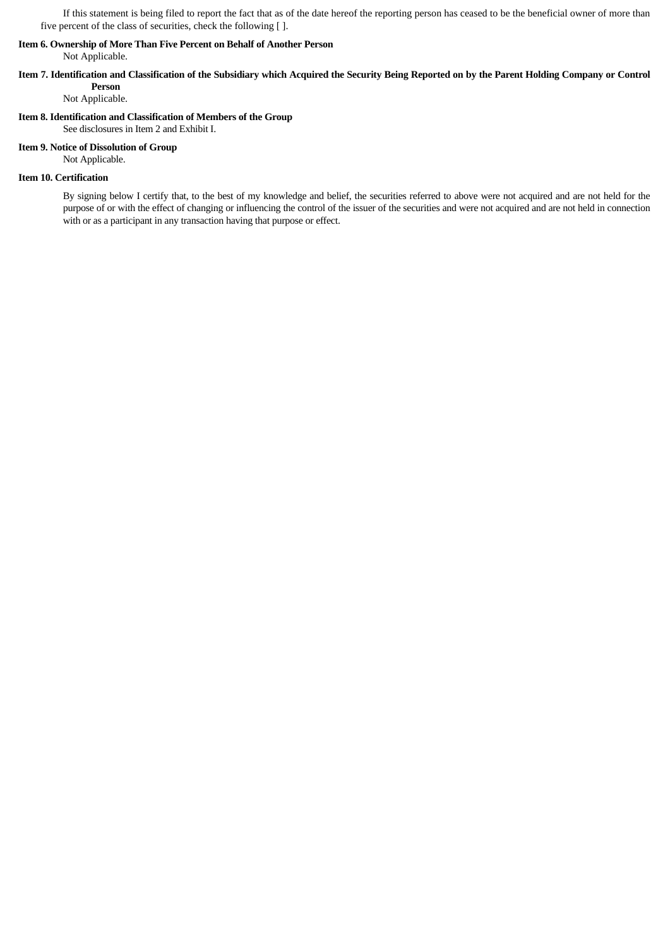If this statement is being filed to report the fact that as of the date hereof the reporting person has ceased to be the beneficial owner of more than five percent of the class of securities, check the following [ ].

# **Item 6. Ownership of More Than Five Percent on Behalf of Another Person**

Not Applicable.

# Item 7. Identification and Classification of the Subsidiary which Acquired the Security Being Reported on by the Parent Holding Company or Control **Person**

Not Applicable.

# **Item 8. Identification and Classification of Members of the Group**

See disclosures in Item 2 and Exhibit I.

# **Item 9. Notice of Dissolution of Group**

Not Applicable.

# **Item 10. Certification**

By signing below I certify that, to the best of my knowledge and belief, the securities referred to above were not acquired and are not held for the purpose of or with the effect of changing or influencing the control of the issuer of the securities and were not acquired and are not held in connection with or as a participant in any transaction having that purpose or effect.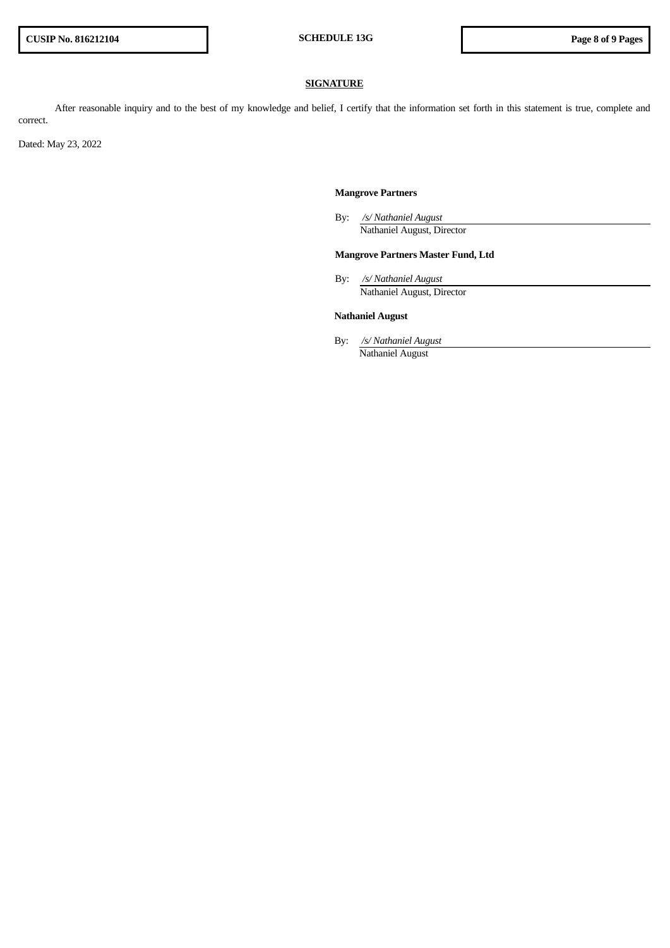# **SIGNATURE**

After reasonable inquiry and to the best of my knowledge and belief, I certify that the information set forth in this statement is true, complete and correct.

Dated: May 23, 2022

# **Mangrove Partners**

By: */s/ Nathaniel August* Nathaniel August, Director

# **Mangrove Partners Master Fund, Ltd**

By: */s/ Nathaniel August* Nathaniel August, Director

# **Nathaniel August**

By: */s/ Nathaniel August* Nathaniel August